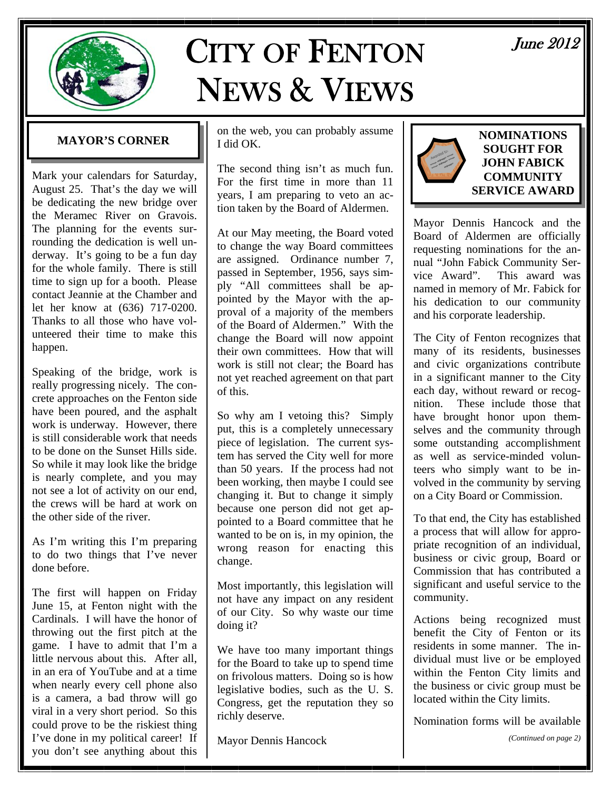

# CITY OF FENTON NEWS & VIEWS

June 2012

### **MAYOR'S CORNER**

Mark your calendars for Saturday, August 25. That's the day we will be dedicating the new bridge over the Meramec River on Gravois. The planning for the events surrounding the dedication is well underway. It's going to be a fun day for the whole family. There is still time to sign up for a booth. Please contact Jeannie at the Chamber and let her know at (636) 717-0200. Thanks to all those who have volunteered their time to make this happen.

Speaking of the bridge, work is really progressing nicely. The concrete approaches on the Fenton side have been poured, and the asphalt work is underway. However, there is still considerable work that needs to be done on the Sunset Hills side. So while it may look like the bridge is nearly complete, and you may not see a lot of activity on our end, the crews will be hard at work on the other side of the river.

As I'm writing this I'm preparing to do two things that I've never done before.

The first will happen on Friday June 15, at Fenton night with the Cardinals. I will have the honor of throwing out the first pitch at the game. I have to admit that I'm a little nervous about this. After all, in an era of YouTube and at a time when nearly every cell phone also is a camera, a bad throw will go viral in a very short period. So this could prove to be the riskiest thing I've done in my political career! If you don't see anything about this on the web, you can probably assume I did OK.

The second thing isn't as much fun. For the first time in more than 11 years, I am preparing to veto an action taken by the Board of Aldermen.

At our May meeting, the Board voted to change the way Board committees are assigned. Ordinance number 7, passed in September, 1956, says simply "All committees shall be appointed by the Mayor with the approval of a majority of the members of the Board of Aldermen." With the change the Board will now appoint their own committees. How that will work is still not clear; the Board has not yet reached agreement on that part of this.

So why am I vetoing this? Simply put, this is a completely unnecessary piece of legislation. The current system has served the City well for more than 50 years. If the process had not been working, then maybe I could see changing it. But to change it simply because one person did not get appointed to a Board committee that he wanted to be on is, in my opinion, the wrong reason for enacting this change.

Most importantly, this legislation will not have any impact on any resident of our City. So why waste our time doing it?

We have too many important things for the Board to take up to spend time on frivolous matters. Doing so is how legislative bodies, such as the U. S. Congress, get the reputation they so richly deserve.

Mayor Dennis Hancock



#### **NOMINATIONS SOUGHT FOR JOHN FABICK COMMUNITY SERVICE AWARD**

Mayor Dennis Hancock and the Board of Aldermen are officially requesting nominations for the annual "John Fabick Community Service Award". This award was named in memory of Mr. Fabick for his dedication to our community and his corporate leadership.

The City of Fenton recognizes that many of its residents, businesses and civic organizations contribute in a significant manner to the City each day, without reward or recognition. These include those that have brought honor upon themselves and the community through some outstanding accomplishment as well as service-minded volunteers who simply want to be involved in the community by serving on a City Board or Commission.

To that end, the City has established a process that will allow for appropriate recognition of an individual, business or civic group, Board or Commission that has contributed a significant and useful service to the community.

Actions being recognized must benefit the City of Fenton or its residents in some manner. The individual must live or be employed within the Fenton City limits and the business or civic group must be located within the City limits.

Nomination forms will be available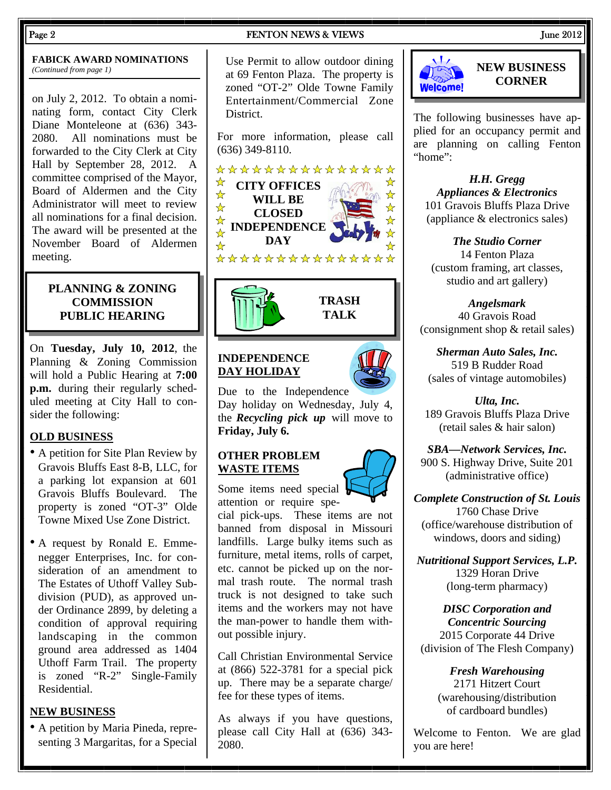## **FABICK AWARD NOMINATIONS**

on July 2, 2012. To obtain a nominating form, contact City Clerk Diane Monteleone at (636) 343- 2080. All nominations must be forwarded to the City Clerk at City Hall by September 28, 2012. A committee comprised of the Mayor, Board of Aldermen and the City Administrator will meet to review all nominations for a final decision. The award will be presented at the November Board of Aldermen meeting.

#### **PLANNING & ZONING COMMISSION PUBLIC HEARING**

On **Tuesday, July 10, 2012**, the Planning & Zoning Commission will hold a Public Hearing at **7:00 p.m.** during their regularly scheduled meeting at City Hall to consider the following:

#### **OLD BUSINESS**

- A petition for Site Plan Review by Gravois Bluffs East 8-B, LLC, for a parking lot expansion at 601 Gravois Bluffs Boulevard. The property is zoned "OT-3" Olde Towne Mixed Use Zone District.
- A request by Ronald E. Emmenegger Enterprises, Inc. for consideration of an amendment to The Estates of Uthoff Valley Subdivision (PUD), as approved under Ordinance 2899, by deleting a condition of approval requiring landscaping in the common ground area addressed as 1404 Uthoff Farm Trail. The property is zoned "R-2" Single-Family Residential.

#### **NEW BUSINESS**

• A petition by Maria Pineda, representing 3 Margaritas, for a Special

#### Page 2 **FENTON NEWS & VIEWS** 7 June 2012

**FABICK AWARD NOMINATIONS** Use Permit to allow outdoor dining *(Continued from page 1)* Use Permit to allow outdoor dining at 69 Fenton Plaza. The property is zoned "OT-2" Olde Towne Family Entertainment/Commercial Zone District.

> For more information, please call (636) 349-8110.





#### **INDEPENDENCE DAY HOLIDAY**

Due to the Independence Day holiday on Wednesday, July 4, the *Recycling pick up* will move to **Friday, July 6.** 

**TRASH TALK** 

#### **OTHER PROBLEM WASTE ITEMS**

Some items need special attention or require spe-

cial pick-ups. These items are not banned from disposal in Missouri landfills. Large bulky items such as furniture, metal items, rolls of carpet, etc. cannot be picked up on the normal trash route. The normal trash truck is not designed to take such items and the workers may not have the man-power to handle them without possible injury.

Call Christian Environmental Service at (866) 522-3781 for a special pick up. There may be a separate charge/ fee for these types of items.

As always if you have questions, please call City Hall at (636) 343- 2080.



#### **NEW BUSINESS CORNER**

The following businesses have applied for an occupancy permit and are planning on calling Fenton "home":

*H.H. Gregg Appliances & Electronics*  101 Gravois Bluffs Plaza Drive (appliance & electronics sales)

*The Studio Corner*  14 Fenton Plaza (custom framing, art classes, studio and art gallery)

*Angelsmark*  40 Gravois Road (consignment shop & retail sales)

*Sherman Auto Sales, Inc.*  519 B Rudder Road (sales of vintage automobiles)

*Ulta, Inc.*  189 Gravois Bluffs Plaza Drive (retail sales & hair salon)

*SBA—Network Services, Inc.*  900 S. Highway Drive, Suite 201 (administrative office)

*Complete Construction of St. Louis*  1760 Chase Drive (office/warehouse distribution of windows, doors and siding)

*Nutritional Support Services, L.P.*  1329 Horan Drive (long-term pharmacy)

*DISC Corporation and Concentric Sourcing*  2015 Corporate 44 Drive (division of The Flesh Company)

> *Fresh Warehousing*  2171 Hitzert Court (warehousing/distribution of cardboard bundles)

Welcome to Fenton. We are glad you are here!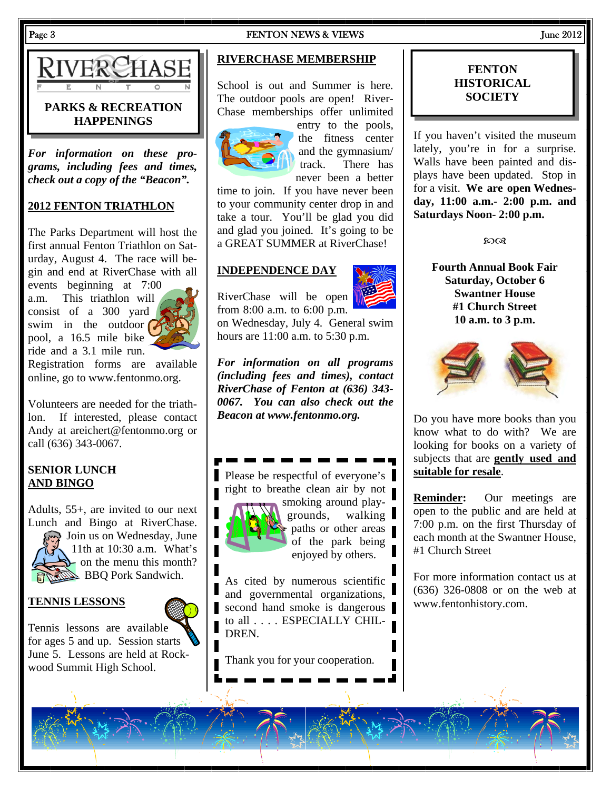# **PARKS & RECREATION**

*For information on these programs, including fees and times, check out a copy of the "Beacon".* 

**HAPPENINGS** 

#### **2012 FENTON TRIATHLON**

The Parks Department will host the first annual Fenton Triathlon on Saturday, August 4. The race will begin and end at RiverChase with all

events beginning at 7:00 a.m. This triathlon will consist of a 300 yard swim in the outdoor  $\alpha$ pool, a 16.5 mile bike ride and a 3.1 mile run.



Registration forms are available online, go to www.fentonmo.org.

Volunteers are needed for the triathlon. If interested, please contact Andy at areichert@fentonmo.org or call (636) 343-0067.

#### **SENIOR LUNCH AND BINGO**

Adults, 55+, are invited to our next Lunch and Bingo at RiverChase.

Ioin us on Wednesday, June 11th at 10:30 a.m. What's  $\blacktriangleright$  on the menu this month? **BBQ Pork Sandwich.** 

#### **TENNIS LESSONS**



## **RIVERCHASE MEMBERSHIP**

School is out and Summer is here. The outdoor pools are open! River-Chase memberships offer unlimited



entry to the pools, the fitness center and the gymnasium/ track. There has never been a better

time to join. If you have never been to your community center drop in and take a tour. You'll be glad you did and glad you joined. It's going to be a GREAT SUMMER at RiverChase!

#### **INDEPENDENCE DAY**



RiverChase will be open from 8:00 a.m. to 6:00 p.m.

on Wednesday, July 4. General swim hours are 11:00 a.m. to 5:30 p.m.

*For information on all programs (including fees and times), contact RiverChase of Fenton at (636) 343- 0067. You can also check out the Beacon at www.fentonmo.org.*

Please be respectful of everyone's right to breathe clean air by not smoking around play-



grounds, walking paths or other areas of the park being enjoyed by others.

As cited by numerous scientific and governmental organizations, second hand smoke is dangerous to all . . . . ESPECIALLY CHIL-DREN.

Thank you for your cooperation.

#### **FENTON HISTORICAL SOCIETY**

If you haven't visited the museum lately, you're in for a surprise. Walls have been painted and displays have been updated. Stop in for a visit. **We are open Wednesday, 11:00 a.m.- 2:00 p.m. and Saturdays Noon- 2:00 p.m.**

**SOOR** 

**Fourth Annual Book Fair Saturday, October 6 Swantner House #1 Church Street 10 a.m. to 3 p.m.** 



Do you have more books than you know what to do with? We are looking for books on a variety of subjects that are **gently used and suitable for resale**.

**Reminder:** Our meetings are open to the public and are held at 7:00 p.m. on the first Thursday of each month at the Swantner House, #1 Church Street

For more information contact us at (636) 326-0808 or on the web at www.fentonhistory.com.

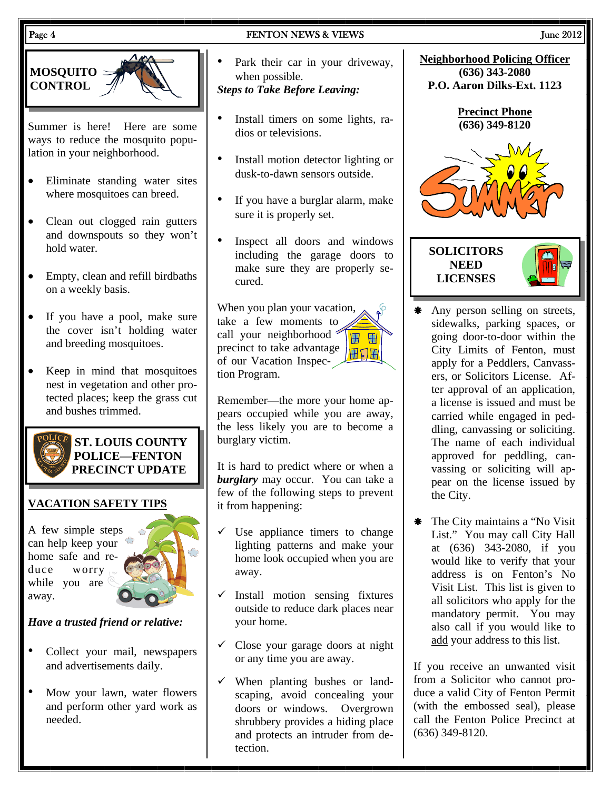#### Page 4 **FENTON NEWS & VIEWS** June 2012



Summer is here! Here are some ways to reduce the mosquito population in your neighborhood.

- Eliminate standing water sites where mosquitoes can breed.
- Clean out clogged rain gutters and downspouts so they won't hold water.
- Empty, clean and refill birdbaths on a weekly basis.
- If you have a pool, make sure the cover isn't holding water and breeding mosquitoes.
- Keep in mind that mosquitoes nest in vegetation and other protected places; keep the grass cut and bushes trimmed.



**ST. LOUIS COUNTY POLICE—FENTON PRECINCT UPDATE** 

#### **VACATION SAFETY TIPS**

A few simple steps can help keep your home safe and reduce worry while you are away.



#### *Have a trusted friend or relative:*

- Collect your mail, newspapers and advertisements daily.
- Mow your lawn, water flowers and perform other yard work as needed.
- Park their car in your driveway, when possible. *Steps to Take Before Leaving:*
- Install timers on some lights, radios or televisions.
- Install motion detector lighting or dusk-to-dawn sensors outside.
- If you have a burglar alarm, make sure it is properly set.
- Inspect all doors and windows including the garage doors to make sure they are properly secured.

When you plan your vacation, take a few moments to call your neighborhood **W W** precinct to take advantage 田口田 of our Vacation Inspection Program.

Remember—the more your home appears occupied while you are away, the less likely you are to become a burglary victim.

It is hard to predict where or when a *burglary* may occur. You can take a few of the following steps to prevent it from happening:

- Use appliance timers to change lighting patterns and make your home look occupied when you are away.
- Install motion sensing fixtures outside to reduce dark places near your home.
- $\checkmark$  Close your garage doors at night or any time you are away.
- $\checkmark$  When planting bushes or landscaping, avoid concealing your doors or windows. Overgrown shrubbery provides a hiding place and protects an intruder from detection.



- \* Any person selling on streets, sidewalks, parking spaces, or going door-to-door within the City Limits of Fenton, must apply for a Peddlers, Canvassers, or Solicitors License. After approval of an application, a license is issued and must be carried while engaged in peddling, canvassing or soliciting. The name of each individual approved for peddling, canvassing or soliciting will appear on the license issued by the City.
- \* The City maintains a "No Visit" List." You may call City Hall at (636) 343-2080, if you would like to verify that your address is on Fenton's No Visit List. This list is given to all solicitors who apply for the mandatory permit. You may also call if you would like to add your address to this list.

If you receive an unwanted visit from a Solicitor who cannot produce a valid City of Fenton Permit (with the embossed seal), please call the Fenton Police Precinct at (636) 349-8120.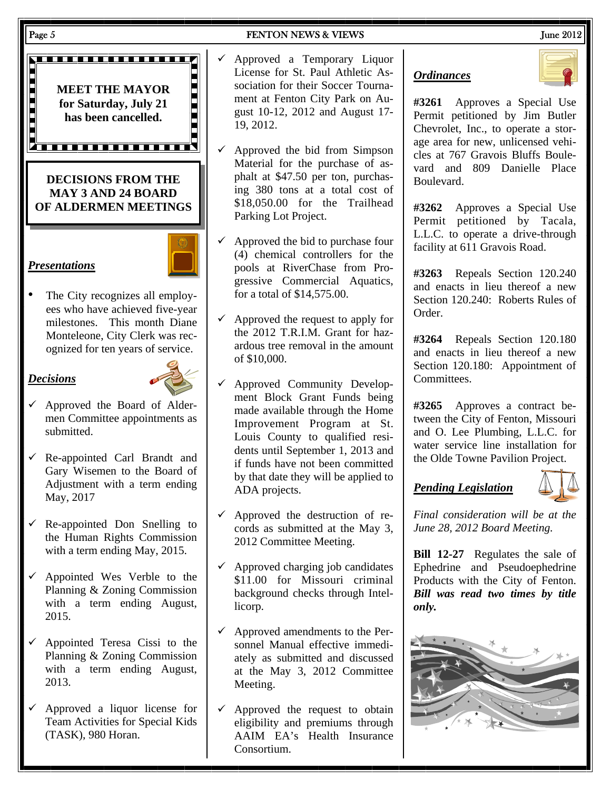

The City recognizes all employees who have achieved five-year milestones. This month Diane Monteleone, City Clerk was recognized for ten years of service.

#### *Decisions*

*Presentations*



- $\checkmark$  Approved the Board of Aldermen Committee appointments as submitted.
- $\checkmark$  Re-appointed Carl Brandt and Gary Wisemen to the Board of Adjustment with a term ending May, 2017
- $\checkmark$  Re-appointed Don Snelling to the Human Rights Commission with a term ending May, 2015.
- $\checkmark$  Appointed Wes Verble to the Planning & Zoning Commission with a term ending August, 2015.
- $\checkmark$  Appointed Teresa Cissi to the Planning & Zoning Commission with a term ending August, 2013.
- $\checkmark$  Approved a liquor license for Team Activities for Special Kids (TASK), 980 Horan.
- 
- $\checkmark$  Approved a Temporary Liquor License for St. Paul Athletic Association for their Soccer Tournament at Fenton City Park on August 10-12, 2012 and August 17- 19, 2012.
- $\checkmark$  Approved the bid from Simpson Material for the purchase of asphalt at \$47.50 per ton, purchasing 380 tons at a total cost of \$18,050.00 for the Trailhead Parking Lot Project.
- $\checkmark$  Approved the bid to purchase four (4) chemical controllers for the pools at RiverChase from Progressive Commercial Aquatics, for a total of \$14,575.00.
- $\checkmark$  Approved the request to apply for the 2012 T.R.I.M. Grant for hazardous tree removal in the amount of \$10,000.
- Approved Community Development Block Grant Funds being made available through the Home Improvement Program at St. Louis County to qualified residents until September 1, 2013 and if funds have not been committed by that date they will be applied to ADA projects.
- $\checkmark$  Approved the destruction of records as submitted at the May 3, 2012 Committee Meeting.
- $\checkmark$  Approved charging job candidates \$11.00 for Missouri criminal background checks through Intellicorp.
- $\checkmark$  Approved amendments to the Personnel Manual effective immediately as submitted and discussed at the May 3, 2012 Committee Meeting.
- $\checkmark$  Approved the request to obtain eligibility and premiums through AAIM EA's Health Insurance Consortium.

*Ordinances*



**#3261** Approves a Special Use Permit petitioned by Jim Butler Chevrolet, Inc., to operate a storage area for new, unlicensed vehicles at 767 Gravois Bluffs Boulevard and 809 Danielle Place Boulevard.

**#3262** Approves a Special Use Permit petitioned by Tacala, L.L.C. to operate a drive-through facility at 611 Gravois Road.

**#3263** Repeals Section 120.240 and enacts in lieu thereof a new Section 120.240: Roberts Rules of Order.

**#3264** Repeals Section 120.180 and enacts in lieu thereof a new Section 120.180: Appointment of Committees.

**#3265** Approves a contract between the City of Fenton, Missouri and O. Lee Plumbing, L.L.C. for water service line installation for the Olde Towne Pavilion Project.

## *Pending Legislation*



*Final consideration will be at the June 28, 2012 Board Meeting.* 

**Bill 12-27** Regulates the sale of Ephedrine and Pseudoephedrine Products with the City of Fenton. *Bill was read two times by title only.*

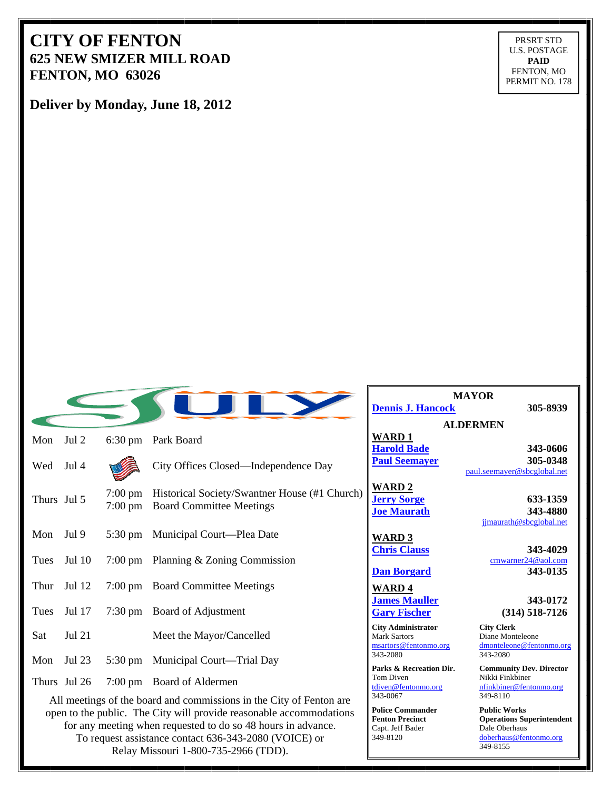## **CITY OF FENTON 625 NEW SMIZER MILL ROAD FENTON, MO 63026**

PRSRT STD U.S. POSTAGE **PAID**  FENTON, MO PERMIT NO. 178

**Deliver by Monday, June 18, 2012**

|             |               |                                        |                                                                                  | <u>D</u>                                  |
|-------------|---------------|----------------------------------------|----------------------------------------------------------------------------------|-------------------------------------------|
| Mon         | Jul 2         | $6:30 \text{ pm}$                      | Park Board                                                                       | $\frac{\mathbf{W}}{\mathbf{H}}$ Pa        |
| Wed         | Jul 4         |                                        | City Offices Closed—Independence Day                                             |                                           |
| Thurs Jul 5 |               | $7:00 \text{ pm}$<br>$7:00 \text{ pm}$ | Historical Society/Swantner House (#1 Church)<br><b>Board Committee Meetings</b> | $\frac{\mathbf{W}}{\mathbf{J}\mathbf{e}}$ |
| Mon         | Jul 9         |                                        | 5:30 pm Municipal Court—Plea Date                                                | W<br>Cl                                   |
| Tues        | Jul 10        |                                        | 7:00 pm Planning $&$ Zoning Commission                                           |                                           |
| Thur        | Jul 12        |                                        | 7:00 pm Board Committee Meetings                                                 | $\mathbf{D}$                              |
| Tues        | Jul 17        |                                        | 7:30 pm Board of Adjustment                                                      | $\frac{\mathbf{W}}{\mathbf{J}\mathbf{a}}$ |
| Sat         | <b>Jul 21</b> |                                        | Meet the Mayor/Cancelled                                                         | Ci<br>Ma<br>ms                            |
| Mon         | Jul 23        |                                        | 5:30 pm Municipal Court—Trial Day                                                | 34<br>Pa                                  |
|             | Thurs Jul 26  |                                        | 7:00 pm Board of Aldermen                                                        | To<br>tdi<br>$\sim$                       |

All meetings of the board and commissions in the City of Fenton are open to the public. The City will provide reasonable accommodations for any meeting when requested to do so 48 hours in advance. To request assistance contact 636-343-2080 (VOICE) or Relay Missouri 1-800-735-2966 (TDD).

**MAYOR <u>Pennis J. Hancock</u> 305-8939** 

**ALDERMEN WARD 1**

**Accord Bade** 343-0606 **<u>Paul Seemayer</u>** 305-0348 paul.seemayer@sbcglobal.net

**WARD 2**

**Joe Maurath 343-4880**  jjmaurath@sbcglobal.net

**WARD 3**

**WARD 4**

**City Administrator City Clerk**  Ark Sartors<br>
Mark Sartors **@fentonmo.org**<br>
Mark Controlled Brancheleone & Controlled Brancheleone & Controlled Brancheleone & Controlled Brancheleone & Controlled Brancheleone & Controlled Brancheleone & Controlled Branche 343-2080 343-2080

om Diven Nikki Finkbiner

**Police Commander Public Works<br>
<b>Public Works**<br> **Public Works**<br> **Public Works** Capt. Jeff Bader<br>349-8120

*<u>Jerry Sorge</u>* **633-1359** 

**hris Clauss** 343-4029 cmwarner24@aol.com **Dan Borgard 343-0135** 

**James Mauller** 343-0172 **Gary Fischer (314) 518-7126** 

dmonteleone@fentonmo.org

**Parks & Recreation Dir. Community Dev. Director**  tdiven@fentonmo.org nfinkbiner@fentonmo.org 349-8110

> **Operations Superintendent**<br>Dale Oberhaus 349-8120 doberhaus@fentonmo.org 349-8155